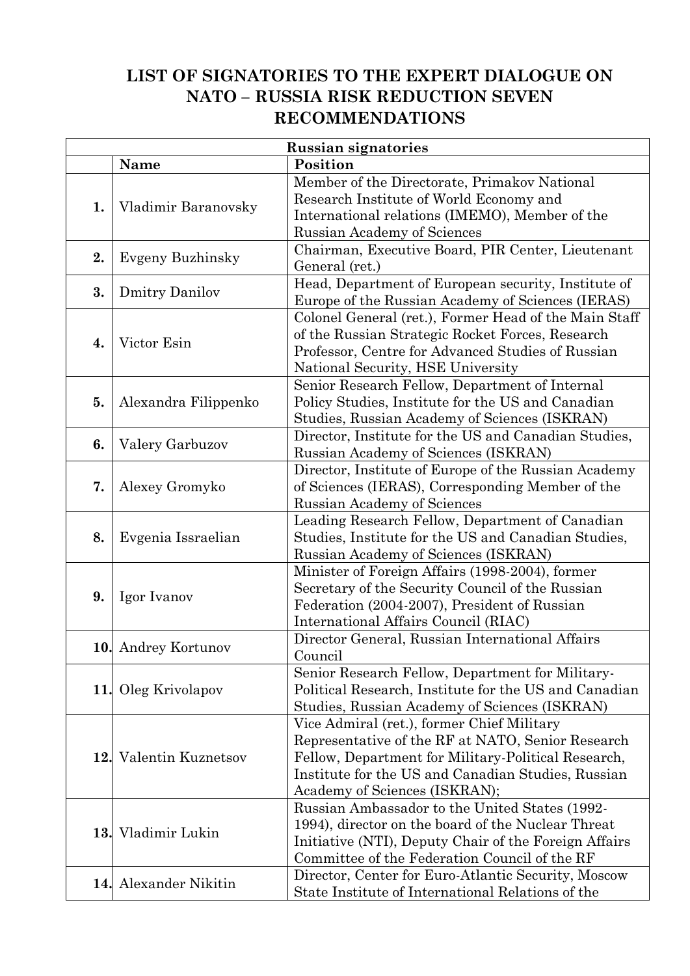## **LIST OF SIGNATORIES TO THE EXPERT DIALOGUE ON NATO – RUSSIA RISK REDUCTION SEVEN RECOMMENDATIONS**

| <b>Russian signatories</b> |                         |                                                       |  |
|----------------------------|-------------------------|-------------------------------------------------------|--|
|                            | Name                    | Position                                              |  |
|                            |                         | Member of the Directorate, Primakov National          |  |
| 1.                         | Vladimir Baranovsky     | Research Institute of World Economy and               |  |
|                            |                         | International relations (IMEMO), Member of the        |  |
|                            |                         | Russian Academy of Sciences                           |  |
| 2.                         |                         | Chairman, Executive Board, PIR Center, Lieutenant     |  |
|                            | <b>Evgeny Buzhinsky</b> | General (ret.)                                        |  |
| 3.                         |                         | Head, Department of European security, Institute of   |  |
|                            | <b>Dmitry Danilov</b>   | Europe of the Russian Academy of Sciences (IERAS)     |  |
|                            |                         | Colonel General (ret.), Former Head of the Main Staff |  |
| 4.                         |                         | of the Russian Strategic Rocket Forces, Research      |  |
|                            | Victor Esin             | Professor, Centre for Advanced Studies of Russian     |  |
|                            |                         | National Security, HSE University                     |  |
|                            |                         | Senior Research Fellow, Department of Internal        |  |
| 5.                         | Alexandra Filippenko    | Policy Studies, Institute for the US and Canadian     |  |
|                            |                         | Studies, Russian Academy of Sciences (ISKRAN)         |  |
| 6.                         | Valery Garbuzov         | Director, Institute for the US and Canadian Studies,  |  |
|                            |                         | Russian Academy of Sciences (ISKRAN)                  |  |
|                            |                         | Director, Institute of Europe of the Russian Academy  |  |
| 7.                         | Alexey Gromyko          | of Sciences (IERAS), Corresponding Member of the      |  |
|                            |                         | Russian Academy of Sciences                           |  |
|                            |                         | Leading Research Fellow, Department of Canadian       |  |
| 8.                         | Evgenia Issraelian      | Studies, Institute for the US and Canadian Studies,   |  |
|                            |                         | Russian Academy of Sciences (ISKRAN)                  |  |
|                            |                         | Minister of Foreign Affairs (1998-2004), former       |  |
| 9.                         |                         | Secretary of the Security Council of the Russian      |  |
|                            | Igor Ivanov             | Federation (2004-2007), President of Russian          |  |
|                            |                         | International Affairs Council (RIAC)                  |  |
|                            |                         | Director General, Russian International Affairs       |  |
|                            | 10. Andrey Kortunov     | Council                                               |  |
|                            |                         | Senior Research Fellow, Department for Military-      |  |
|                            | 11. Oleg Krivolapov     | Political Research, Institute for the US and Canadian |  |
|                            |                         | Studies, Russian Academy of Sciences (ISKRAN)         |  |
|                            |                         | Vice Admiral (ret.), former Chief Military            |  |
|                            |                         | Representative of the RF at NATO, Senior Research     |  |
| 12.                        | Valentin Kuznetsov      | Fellow, Department for Military-Political Research,   |  |
|                            |                         | Institute for the US and Canadian Studies, Russian    |  |
|                            |                         | Academy of Sciences (ISKRAN);                         |  |
|                            | 13. Vladimir Lukin      | Russian Ambassador to the United States (1992-        |  |
|                            |                         | 1994), director on the board of the Nuclear Threat    |  |
|                            |                         | Initiative (NTI), Deputy Chair of the Foreign Affairs |  |
|                            |                         | Committee of the Federation Council of the RF         |  |
|                            | 14. Alexander Nikitin   | Director, Center for Euro-Atlantic Security, Moscow   |  |
|                            |                         | State Institute of International Relations of the     |  |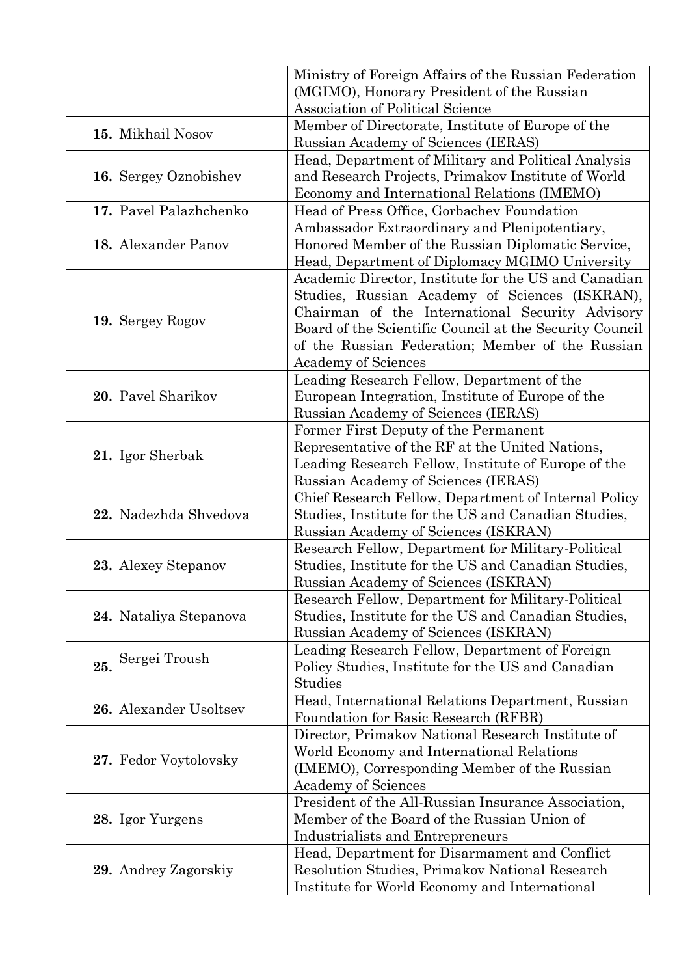|            |                        | Ministry of Foreign Affairs of the Russian Federation                                               |
|------------|------------------------|-----------------------------------------------------------------------------------------------------|
|            |                        | (MGIMO), Honorary President of the Russian                                                          |
|            |                        | <b>Association of Political Science</b>                                                             |
| 15.        |                        | Member of Directorate, Institute of Europe of the                                                   |
|            | Mikhail Nosov          | Russian Academy of Sciences (IERAS)                                                                 |
|            |                        | Head, Department of Military and Political Analysis                                                 |
|            | 16. Sergey Oznobishev  | and Research Projects, Primakov Institute of World                                                  |
|            |                        | Economy and International Relations (IMEMO)                                                         |
|            | 17. Pavel Palazhchenko | Head of Press Office, Gorbachev Foundation                                                          |
|            |                        | Ambassador Extraordinary and Plenipotentiary,                                                       |
|            | 18. Alexander Panov    | Honored Member of the Russian Diplomatic Service,                                                   |
|            |                        | Head, Department of Diplomacy MGIMO University                                                      |
|            |                        | Academic Director, Institute for the US and Canadian                                                |
|            |                        | Studies, Russian Academy of Sciences (ISKRAN),                                                      |
|            | 19. Sergey Rogov       | Chairman of the International Security Advisory                                                     |
|            |                        | Board of the Scientific Council at the Security Council                                             |
|            |                        | of the Russian Federation; Member of the Russian                                                    |
|            |                        | <b>Academy of Sciences</b>                                                                          |
|            |                        | Leading Research Fellow, Department of the                                                          |
|            | 20. Pavel Sharikov     | European Integration, Institute of Europe of the                                                    |
|            |                        | Russian Academy of Sciences (IERAS)                                                                 |
|            |                        | Former First Deputy of the Permanent                                                                |
|            | 21. Igor Sherbak       | Representative of the RF at the United Nations,                                                     |
|            |                        | Leading Research Fellow, Institute of Europe of the                                                 |
|            |                        | Russian Academy of Sciences (IERAS)                                                                 |
|            | Nadezhda Shvedova      | Chief Research Fellow, Department of Internal Policy                                                |
| 22.        |                        | Studies, Institute for the US and Canadian Studies,                                                 |
|            |                        | Russian Academy of Sciences (ISKRAN)                                                                |
|            |                        | Research Fellow, Department for Military-Political                                                  |
|            | 23. Alexey Stepanov    | Studies, Institute for the US and Canadian Studies,                                                 |
|            |                        | Russian Academy of Sciences (ISKRAN)                                                                |
|            |                        | Research Fellow, Department for Military-Political                                                  |
|            | 24. Nataliya Stepanova | Studies, Institute for the US and Canadian Studies,<br>Russian Academy of Sciences (ISKRAN)         |
|            |                        |                                                                                                     |
| 25.        | Sergei Troush          | Leading Research Fellow, Department of Foreign<br>Policy Studies, Institute for the US and Canadian |
|            |                        | Studies                                                                                             |
|            |                        | Head, International Relations Department, Russian                                                   |
| <b>26.</b> | Alexander Usoltsev     | Foundation for Basic Research (RFBR)                                                                |
|            | Fedor Voytolovsky      | Director, Primakov National Research Institute of                                                   |
|            |                        | World Economy and International Relations                                                           |
| 27.        |                        | (IMEMO), Corresponding Member of the Russian                                                        |
|            |                        | <b>Academy of Sciences</b>                                                                          |
|            |                        | President of the All-Russian Insurance Association,                                                 |
|            | 28. Igor Yurgens       | Member of the Board of the Russian Union of                                                         |
|            |                        | <b>Industrialists and Entrepreneurs</b>                                                             |
|            |                        | Head, Department for Disarmament and Conflict                                                       |
| 29.        | Andrey Zagorskiy       | Resolution Studies, Primakov National Research                                                      |
|            |                        | Institute for World Economy and International                                                       |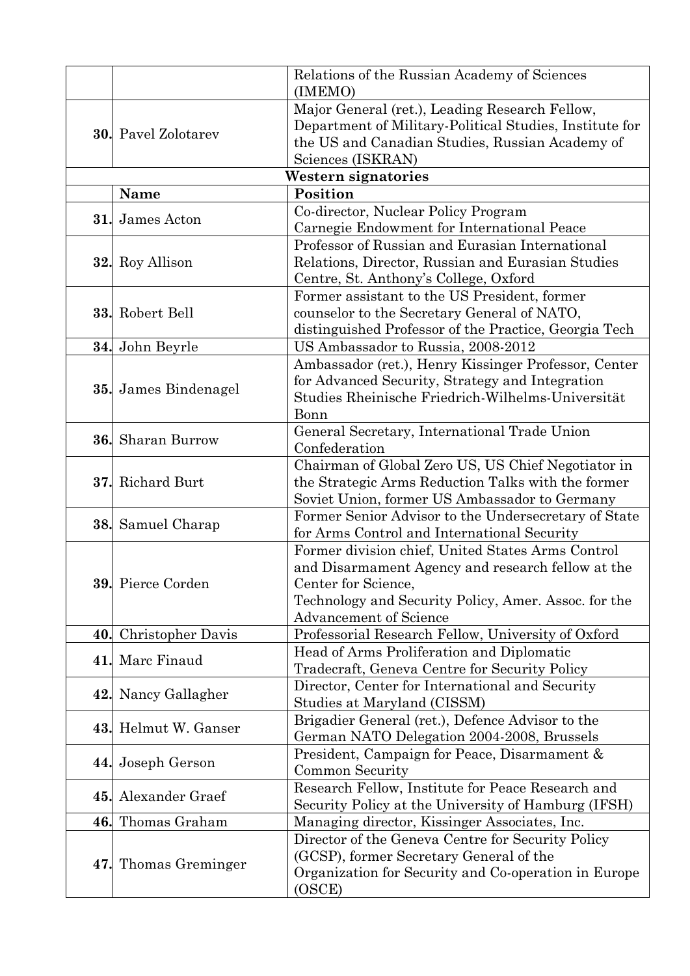|     |                            | Relations of the Russian Academy of Sciences<br>(IMEMO)                                                                                                                                                                |
|-----|----------------------------|------------------------------------------------------------------------------------------------------------------------------------------------------------------------------------------------------------------------|
|     | <b>30.</b> Pavel Zolotarev | Major General (ret.), Leading Research Fellow,<br>Department of Military-Political Studies, Institute for<br>the US and Canadian Studies, Russian Academy of<br>Sciences (ISKRAN)                                      |
|     |                            | Western signatories                                                                                                                                                                                                    |
|     | <b>Name</b>                | Position                                                                                                                                                                                                               |
| 31. | James Acton                | Co-director, Nuclear Policy Program<br>Carnegie Endowment for International Peace                                                                                                                                      |
|     | 32. Roy Allison            | Professor of Russian and Eurasian International<br>Relations, Director, Russian and Eurasian Studies<br>Centre, St. Anthony's College, Oxford                                                                          |
|     | 33. Robert Bell            | Former assistant to the US President, former<br>counselor to the Secretary General of NATO,<br>distinguished Professor of the Practice, Georgia Tech                                                                   |
| 34. | John Beyrle                | US Ambassador to Russia, 2008-2012                                                                                                                                                                                     |
| 35. | James Bindenagel           | Ambassador (ret.), Henry Kissinger Professor, Center<br>for Advanced Security, Strategy and Integration<br>Studies Rheinische Friedrich-Wilhelms-Universität<br>Bonn                                                   |
| 36. | Sharan Burrow              | General Secretary, International Trade Union<br>Confederation                                                                                                                                                          |
| 37. | Richard Burt               | Chairman of Global Zero US, US Chief Negotiator in<br>the Strategic Arms Reduction Talks with the former<br>Soviet Union, former US Ambassador to Germany                                                              |
|     | 38. Samuel Charap          | Former Senior Advisor to the Undersecretary of State<br>for Arms Control and International Security                                                                                                                    |
|     | 39. Pierce Corden          | Former division chief, United States Arms Control<br>and Disarmament Agency and research fellow at the<br>Center for Science,<br>Technology and Security Policy, Amer. Assoc. for the<br><b>Advancement of Science</b> |
| 40. | <b>Christopher Davis</b>   | Professorial Research Fellow, University of Oxford                                                                                                                                                                     |
| 41. | Marc Finaud                | Head of Arms Proliferation and Diplomatic<br>Tradecraft, Geneva Centre for Security Policy                                                                                                                             |
| 42. | Nancy Gallagher            | Director, Center for International and Security<br>Studies at Maryland (CISSM)                                                                                                                                         |
|     | 43. Helmut W. Ganser       | Brigadier General (ret.), Defence Advisor to the<br>German NATO Delegation 2004-2008, Brussels                                                                                                                         |
| 44. | Joseph Gerson              | President, Campaign for Peace, Disarmament &<br>Common Security                                                                                                                                                        |
| 45. | Alexander Graef            | Research Fellow, Institute for Peace Research and<br>Security Policy at the University of Hamburg (IFSH)                                                                                                               |
|     | 46. Thomas Graham          | Managing director, Kissinger Associates, Inc.                                                                                                                                                                          |
|     | 47. Thomas Greminger       | Director of the Geneva Centre for Security Policy<br>(GCSP), former Secretary General of the<br>Organization for Security and Co-operation in Europe<br>(OSCE)                                                         |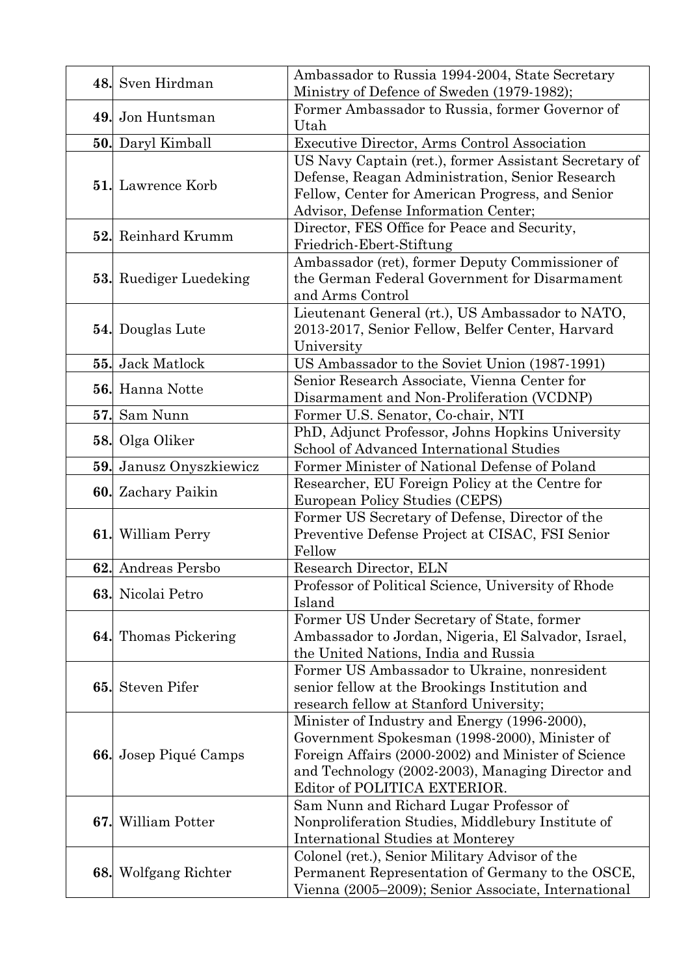|     | 48. Sven Hirdman              | Ambassador to Russia 1994-2004, State Secretary<br>Ministry of Defence of Sweden (1979-1982);        |
|-----|-------------------------------|------------------------------------------------------------------------------------------------------|
|     |                               | Former Ambassador to Russia, former Governor of                                                      |
|     | 49. Jon Huntsman              | Utah                                                                                                 |
|     | 50. Daryl Kimball             | Executive Director, Arms Control Association                                                         |
|     |                               | US Navy Captain (ret.), former Assistant Secretary of                                                |
|     | <b>51.</b> Lawrence Korb      | Defense, Reagan Administration, Senior Research                                                      |
|     |                               | Fellow, Center for American Progress, and Senior                                                     |
|     |                               | Advisor, Defense Information Center;                                                                 |
|     | 52. Reinhard Krumm            | Director, FES Office for Peace and Security,                                                         |
|     |                               | Friedrich-Ebert-Stiftung                                                                             |
|     |                               | Ambassador (ret), former Deputy Commissioner of<br>the German Federal Government for Disarmament     |
|     | <b>53.</b> Ruediger Luedeking | and Arms Control                                                                                     |
|     |                               | Lieutenant General (rt.), US Ambassador to NATO,                                                     |
|     | 54. Douglas Lute              | 2013-2017, Senior Fellow, Belfer Center, Harvard                                                     |
|     |                               | University                                                                                           |
| 55. | <b>Jack Matlock</b>           | US Ambassador to the Soviet Union (1987-1991)                                                        |
|     |                               | Senior Research Associate, Vienna Center for                                                         |
|     | 56. Hanna Notte               | Disarmament and Non-Proliferation (VCDNP)                                                            |
| 57. | Sam Nunn                      | Former U.S. Senator, Co-chair, NTI                                                                   |
|     | 58. Olga Oliker               | PhD, Adjunct Professor, Johns Hopkins University                                                     |
|     |                               | School of Advanced International Studies                                                             |
| 59. | Janusz Onyszkiewicz           | Former Minister of National Defense of Poland                                                        |
|     | <b>60.</b> Zachary Paikin     | Researcher, EU Foreign Policy at the Centre for                                                      |
|     |                               | European Policy Studies (CEPS)                                                                       |
|     | 61. William Perry             | Former US Secretary of Defense, Director of the                                                      |
|     |                               | Preventive Defense Project at CISAC, FSI Senior<br>Fellow                                            |
|     | 62. Andreas Persbo            | Research Director, ELN                                                                               |
|     |                               | Professor of Political Science, University of Rhode                                                  |
|     | 63. Nicolai Petro             | Island                                                                                               |
|     |                               | Former US Under Secretary of State, former                                                           |
|     | <b>64.</b> Thomas Pickering   | Ambassador to Jordan, Nigeria, El Salvador, Israel,                                                  |
|     |                               | the United Nations, India and Russia                                                                 |
|     | <b>Steven Pifer</b>           | Former US Ambassador to Ukraine, nonresident                                                         |
| 65. |                               | senior fellow at the Brookings Institution and                                                       |
|     |                               | research fellow at Stanford University;                                                              |
|     |                               | Minister of Industry and Energy (1996-2000),                                                         |
|     |                               | Government Spokesman (1998-2000), Minister of<br>Foreign Affairs (2000-2002) and Minister of Science |
|     | 66. Josep Piqué Camps         | and Technology (2002-2003), Managing Director and                                                    |
|     |                               | Editor of POLITICA EXTERIOR.                                                                         |
|     |                               | Sam Nunn and Richard Lugar Professor of                                                              |
| 67. | William Potter                | Nonproliferation Studies, Middlebury Institute of                                                    |
|     |                               | International Studies at Monterey                                                                    |
|     |                               | Colonel (ret.), Senior Military Advisor of the                                                       |
|     | <b>68.</b> Wolfgang Richter   | Permanent Representation of Germany to the OSCE,                                                     |
|     |                               | Vienna (2005–2009); Senior Associate, International                                                  |